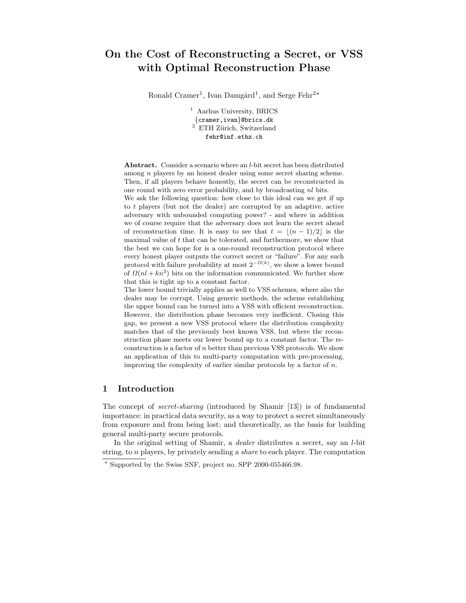# On the Cost of Reconstructing a Secret, or VSS with Optimal Reconstruction Phase

Ronald Cramer<sup>1</sup>, Ivan Damgård<sup>1</sup>, and Serge Fehr<sup>2\*</sup>

<sup>1</sup> Aarhus University, BRICS {cramer,ivan}@brics.dk  $2$  ETH Zürich, Switzerland fehr@inf.ethz.ch

Abstract. Consider a scenario where an l-bit secret has been distributed among n players by an honest dealer using some secret sharing scheme. Then, if all players behave honestly, the secret can be reconstructed in one round with zero error probability, and by broadcasting nl bits.

We ask the following question: how close to this ideal can we get if up to t players (but not the dealer) are corrupted by an adaptive, active adversary with unbounded computing power? - and where in addition we of course require that the adversary does not learn the secret ahead of reconstruction time. It is easy to see that  $t = |(n - 1)/2|$  is the maximal value of t that can be tolerated, and furthermore, we show that the best we can hope for is a one-round reconstruction protocol where every honest player outputs the correct secret or "failure". For any such protocol with failure probability at most  $2^{-\Omega(k)}$ , we show a lower bound of  $\Omega(nl + kn^2)$  bits on the information communicated. We further show that this is tight up to a constant factor.

The lower bound trivially applies as well to VSS schemes, where also the dealer may be corrupt. Using generic methods, the scheme establishing the upper bound can be turned into a VSS with efficient reconstruction. However, the distribution phase becomes very inefficient. Closing this gap, we present a new VSS protocol where the distribution complexity matches that of the previously best known VSS, but where the reconstruction phase meets our lower bound up to a constant factor. The reconstruction is a factor of  $n$  better than previous VSS protocols. We show an application of this to multi-party computation with pre-processing, improving the complexity of earlier similar protocols by a factor of  $n$ .

# 1 Introduction

The concept of secret-sharing (introduced by Shamir [13]) is of fundamental importance: in practical data security, as a way to protect a secret simultaneously from exposure and from being lost; and theoretically, as the basis for building general multi-party secure protocols.

In the original setting of Shamir, a *dealer* distributes a secret, say an *l*-bit string, to n players, by privately sending a share to each player. The computation

<sup>?</sup> Supported by the Swiss SNF, project no. SPP 2000-055466.98.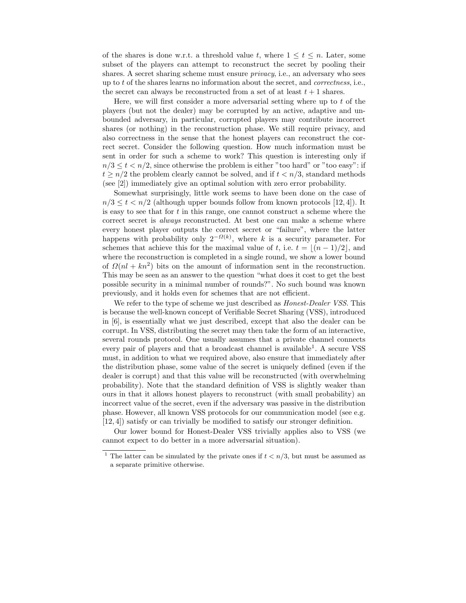of the shares is done w.r.t. a threshold value t, where  $1 \leq t \leq n$ . Later, some subset of the players can attempt to reconstruct the secret by pooling their shares. A secret sharing scheme must ensure *privacy*, i.e., an adversary who sees up to t of the shares learns no information about the secret, and correctness, i.e., the secret can always be reconstructed from a set of at least  $t + 1$  shares.

Here, we will first consider a more adversarial setting where up to  $t$  of the players (but not the dealer) may be corrupted by an active, adaptive and unbounded adversary, in particular, corrupted players may contribute incorrect shares (or nothing) in the reconstruction phase. We still require privacy, and also correctness in the sense that the honest players can reconstruct the correct secret. Consider the following question. How much information must be sent in order for such a scheme to work? This question is interesting only if  $n/3 \le t < n/2$ , since otherwise the problem is either "too hard" or "too easy": if  $t \geq n/2$  the problem clearly cannot be solved, and if  $t < n/3$ , standard methods (see [2]) immediately give an optimal solution with zero error probability.

Somewhat surprisingly, little work seems to have been done on the case of  $n/3 \le t < n/2$  (although upper bounds follow from known protocols [12, 4]). It is easy to see that for  $t$  in this range, one cannot construct a scheme where the correct secret is always reconstructed. At best one can make a scheme where every honest player outputs the correct secret or "failure", where the latter happens with probability only  $2^{-\Omega(k)}$ , where k is a security parameter. For schemes that achieve this for the maximal value of t, i.e.  $t = \lfloor (n - 1)/2 \rfloor$ , and where the reconstruction is completed in a single round, we show a lower bound of  $\Omega(nl + kn^2)$  bits on the amount of information sent in the reconstruction. This may be seen as an answer to the question "what does it cost to get the best possible security in a minimal number of rounds?". No such bound was known previously, and it holds even for schemes that are not efficient.

We refer to the type of scheme we just described as *Honest-Dealer VSS*. This is because the well-known concept of Verifiable Secret Sharing (VSS), introduced in [6], is essentially what we just described, except that also the dealer can be corrupt. In VSS, distributing the secret may then take the form of an interactive, several rounds protocol. One usually assumes that a private channel connects every pair of players and that a broadcast channel is available<sup>1</sup>. A secure VSS must, in addition to what we required above, also ensure that immediately after the distribution phase, some value of the secret is uniquely defined (even if the dealer is corrupt) and that this value will be reconstructed (with overwhelming probability). Note that the standard definition of VSS is slightly weaker than ours in that it allows honest players to reconstruct (with small probability) an incorrect value of the secret, even if the adversary was passive in the distribution phase. However, all known VSS protocols for our communication model (see e.g. [12, 4]) satisfy or can trivially be modified to satisfy our stronger definition.

Our lower bound for Honest-Dealer VSS trivially applies also to VSS (we cannot expect to do better in a more adversarial situation).

<sup>&</sup>lt;sup>1</sup> The latter can be simulated by the private ones if  $t < n/3$ , but must be assumed as a separate primitive otherwise.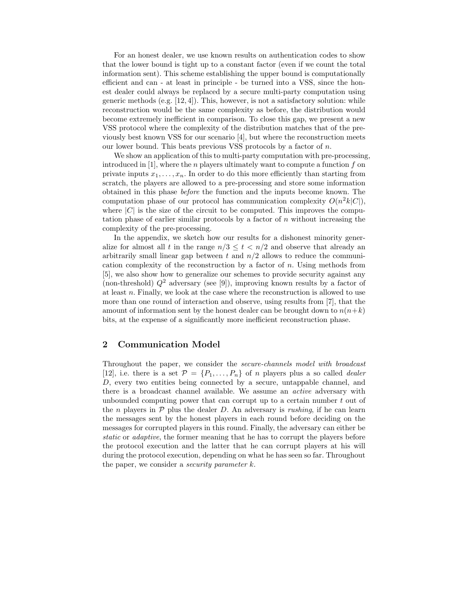For an honest dealer, we use known results on authentication codes to show that the lower bound is tight up to a constant factor (even if we count the total information sent). This scheme establishing the upper bound is computationally efficient and can - at least in principle - be turned into a VSS, since the honest dealer could always be replaced by a secure multi-party computation using generic methods (e.g. [12, 4]). This, however, is not a satisfactory solution: while reconstruction would be the same complexity as before, the distribution would become extremely inefficient in comparison. To close this gap, we present a new VSS protocol where the complexity of the distribution matches that of the previously best known VSS for our scenario [4], but where the reconstruction meets our lower bound. This beats previous VSS protocols by a factor of n.

We show an application of this to multi-party computation with pre-processing, introduced in [1], where the *n* players ultimately want to compute a function  $f$  on private inputs  $x_1, \ldots, x_n$ . In order to do this more efficiently than starting from scratch, the players are allowed to a pre-processing and store some information obtained in this phase before the function and the inputs become known. The computation phase of our protocol has communication complexity  $O(n^2k|C|)$ , where  $|C|$  is the size of the circuit to be computed. This improves the computation phase of earlier similar protocols by a factor of  $n$  without increasing the complexity of the pre-processing.

In the appendix, we sketch how our results for a dishonest minority generalize for almost all t in the range  $n/3 \le t < n/2$  and observe that already an arbitrarily small linear gap between t and  $n/2$  allows to reduce the communication complexity of the reconstruction by a factor of n. Using methods from [5], we also show how to generalize our schemes to provide security against any (non-threshold)  $Q^2$  adversary (see [9]), improving known results by a factor of at least  $n$ . Finally, we look at the case where the reconstruction is allowed to use more than one round of interaction and observe, using results from [7], that the amount of information sent by the honest dealer can be brought down to  $n(n+k)$ bits, at the expense of a significantly more inefficient reconstruction phase.

## 2 Communication Model

Throughout the paper, we consider the secure-channels model with broadcast [12], i.e. there is a set  $\mathcal{P} = \{P_1, \ldots, P_n\}$  of *n* players plus a so called *dealer* D, every two entities being connected by a secure, untappable channel, and there is a broadcast channel available. We assume an active adversary with unbounded computing power that can corrupt up to a certain number  $t$  out of the *n* players in  $P$  plus the dealer D. An adversary is *rushing*, if he can learn the messages sent by the honest players in each round before deciding on the messages for corrupted players in this round. Finally, the adversary can either be static or adaptive, the former meaning that he has to corrupt the players before the protocol execution and the latter that he can corrupt players at his will during the protocol execution, depending on what he has seen so far. Throughout the paper, we consider a *security parameter*  $k$ .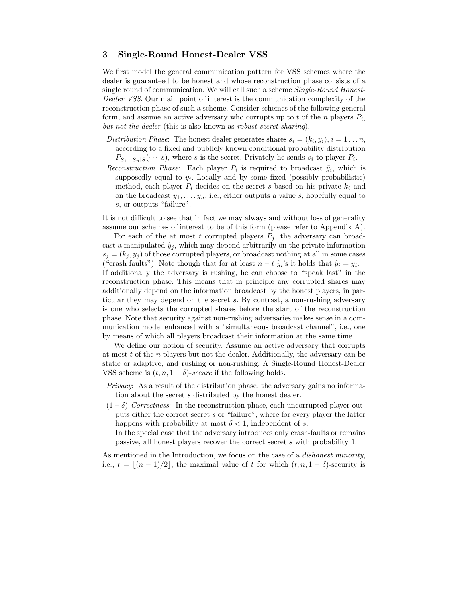## 3 Single-Round Honest-Dealer VSS

We first model the general communication pattern for VSS schemes where the dealer is guaranteed to be honest and whose reconstruction phase consists of a single round of communication. We will call such a scheme Single-Round Honest-Dealer VSS. Our main point of interest is the communication complexity of the reconstruction phase of such a scheme. Consider schemes of the following general form, and assume an active adversary who corrupts up to  $t$  of the  $n$  players  $P_i$ , but not the dealer (this is also known as *robust secret sharing*).

- Distribution Phase: The honest dealer generates shares  $s_i = (k_i, y_i), i = 1...n$ , according to a fixed and publicly known conditional probability distribution  $P_{S_1\cdots S_n|S}(\cdots|s)$ , where s is the secret. Privately he sends  $s_i$  to player  $P_i$ .
- Reconstruction Phase: Each player  $P_i$  is required to broadcast  $\tilde{y}_i$ , which is supposedly equal to  $y_i$ . Locally and by some fixed (possibly probabilistic) method, each player  $P_i$  decides on the secret s based on his private  $k_i$  and on the broadcast  $\tilde{y}_1, \ldots, \tilde{y}_n$ , i.e., either outputs a value  $\tilde{s}$ , hopefully equal to s, or outputs "failure".

It is not difficult to see that in fact we may always and without loss of generality assume our schemes of interest to be of this form (please refer to Appendix A).

For each of the at most t corrupted players  $P_j$ , the adversary can broadcast a manipulated  $\tilde{y}_j$ , which may depend arbitrarily on the private information  $s_j = (k_j, y_j)$  of those corrupted players, or broadcast nothing at all in some cases ("crash faults"). Note though that for at least  $n - t \tilde{y}_i$ 's it holds that  $\tilde{y}_i = y_i$ . If additionally the adversary is rushing, he can choose to "speak last" in the reconstruction phase. This means that in principle any corrupted shares may additionally depend on the information broadcast by the honest players, in particular they may depend on the secret s. By contrast, a non-rushing adversary is one who selects the corrupted shares before the start of the reconstruction phase. Note that security against non-rushing adversaries makes sense in a communication model enhanced with a "simultaneous broadcast channel", i.e., one by means of which all players broadcast their information at the same time.

We define our notion of security. Assume an active adversary that corrupts at most  $t$  of the  $n$  players but not the dealer. Additionally, the adversary can be static or adaptive, and rushing or non-rushing. A Single-Round Honest-Dealer VSS scheme is  $(t, n, 1 - \delta)$ -secure if the following holds.

- Privacy: As a result of the distribution phase, the adversary gains no information about the secret s distributed by the honest dealer.
- $(1 \delta)$ -Correctness: In the reconstruction phase, each uncorrupted player outputs either the correct secret s or "failure", where for every player the latter happens with probability at most  $\delta < 1$ , independent of s.

In the special case that the adversary introduces only crash-faults or remains passive, all honest players recover the correct secret s with probability 1.

As mentioned in the Introduction, we focus on the case of a dishonest minority, i.e.,  $t = |(n - 1)/2|$ , the maximal value of t for which  $(t, n, 1 - \delta)$ -security is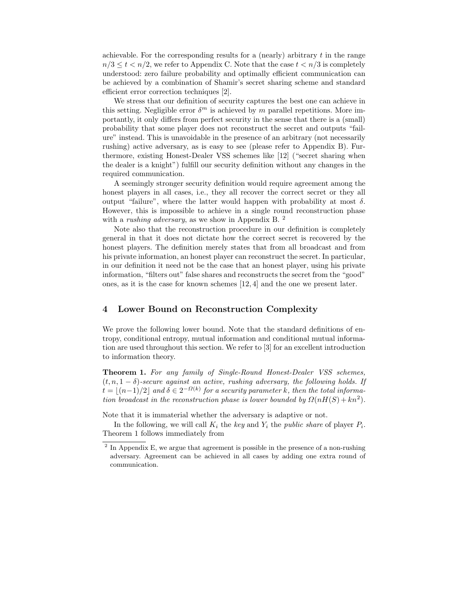achievable. For the corresponding results for a (nearly) arbitrary  $t$  in the range  $n/3 \le t \le n/2$ , we refer to Appendix C. Note that the case  $t \le n/3$  is completely understood: zero failure probability and optimally efficient communication can be achieved by a combination of Shamir's secret sharing scheme and standard efficient error correction techniques [2].

We stress that our definition of security captures the best one can achieve in this setting. Negligible error  $\delta^m$  is achieved by m parallel repetitions. More importantly, it only differs from perfect security in the sense that there is a (small) probability that some player does not reconstruct the secret and outputs "failure" instead. This is unavoidable in the presence of an arbitrary (not necessarily rushing) active adversary, as is easy to see (please refer to Appendix B). Furthermore, existing Honest-Dealer VSS schemes like [12] ("secret sharing when the dealer is a knight") fulfill our security definition without any changes in the required communication.

A seemingly stronger security definition would require agreement among the honest players in all cases, i.e., they all recover the correct secret or they all output "failure", where the latter would happen with probability at most  $\delta$ . However, this is impossible to achieve in a single round reconstruction phase with a *rushing adversary*, as we show in Appendix B.  $^2$ 

Note also that the reconstruction procedure in our definition is completely general in that it does not dictate how the correct secret is recovered by the honest players. The definition merely states that from all broadcast and from his private information, an honest player can reconstruct the secret. In particular, in our definition it need not be the case that an honest player, using his private information, "filters out" false shares and reconstructs the secret from the "good" ones, as it is the case for known schemes [12, 4] and the one we present later.

## 4 Lower Bound on Reconstruction Complexity

We prove the following lower bound. Note that the standard definitions of entropy, conditional entropy, mutual information and conditional mutual information are used throughout this section. We refer to [3] for an excellent introduction to information theory.

Theorem 1. For any family of Single-Round Honest-Dealer VSS schemes,  $(t, n, 1 - \delta)$ -secure against an active, rushing adversary, the following holds. If  $t = \lfloor (n-1)/2 \rfloor$  and  $\delta \in 2^{-\Omega(k)}$  for a security parameter k, then the total information broadcast in the reconstruction phase is lower bounded by  $\Omega(nH(S) + kn^2)$ .

Note that it is immaterial whether the adversary is adaptive or not.

In the following, we will call  $K_i$  the key and  $Y_i$  the *public share* of player  $P_i$ . Theorem 1 follows immediately from

<sup>&</sup>lt;sup>2</sup> In Appendix E, we argue that agreement is possible in the presence of a non-rushing adversary. Agreement can be achieved in all cases by adding one extra round of communication.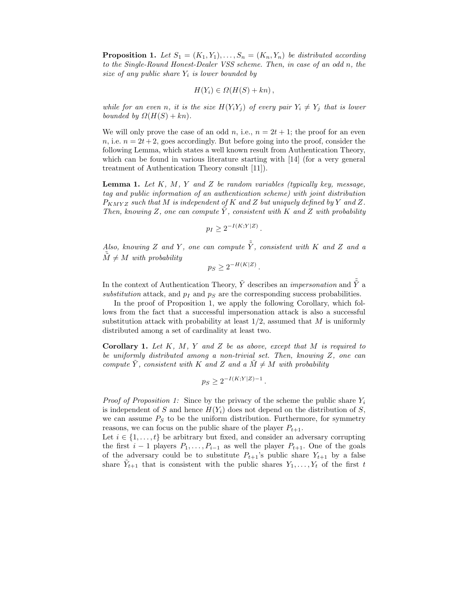**Proposition 1.** Let  $S_1 = (K_1, Y_1), \ldots, S_n = (K_n, Y_n)$  be distributed according to the Single-Round Honest-Dealer VSS scheme. Then, in case of an odd n, the size of any public share  $Y_i$  is lower bounded by

$$
H(Y_i) \in \Omega(H(S) + kn),
$$

while for an even n, it is the size  $H(Y_iY_j)$  of every pair  $Y_i \neq Y_j$  that is lower bounded by  $\Omega(H(S) + kn)$ .

We will only prove the case of an odd n, i.e.,  $n = 2t + 1$ ; the proof for an even  $n, i.e.$   $n = 2t + 2$ , goes accordingly. But before going into the proof, consider the following Lemma, which states a well known result from Authentication Theory, which can be found in various literature starting with [14] (for a very general treatment of Authentication Theory consult [11]).

**Lemma 1.** Let  $K$ ,  $M$ ,  $Y$  and  $Z$  be random variables (typically key, message, tag and public information of an authentication scheme) with joint distribution  $P_{KMYZ}$  such that M is independent of K and Z but uniquely defined by Y and Z. Then, knowing Z, one can compute  $\tilde{Y}$ , consistent with K and Z with probability

$$
p_I \geq 2^{-I(K;Y|Z)}.
$$

Also, knowing Z and Y, one can compute  $\tilde{\tilde{Y}}$ , consistent with K and Z and a  $\tilde{\tilde{M}} \neq M$  with probability

$$
p_S \ge 2^{-H(K|Z)}.
$$

In the context of Authentication Theory,  $\tilde{Y}$  describes an *impersonation* and  $\tilde{\tilde{Y}}$  a substitution attack, and  $p_I$  and  $p_S$  are the corresponding success probabilities.

In the proof of Proposition 1, we apply the following Corollary, which follows from the fact that a successful impersonation attack is also a successful substitution attack with probability at least  $1/2$ , assumed that M is uniformly distributed among a set of cardinality at least two.

**Corollary 1.** Let  $K$ ,  $M$ ,  $Y$  and  $Z$  be as above, except that  $M$  is required to be uniformly distributed among a non-trivial set. Then, knowing Z, one can compute  $\tilde{Y}$ , consistent with K and Z and a  $\tilde{M} \neq M$  with probability

$$
p_S \geq 2^{-I(K;Y|Z)-1} \, .
$$

*Proof of Proposition 1:* Since by the privacy of the scheme the public share  $Y_i$ is independent of S and hence  $H(Y_i)$  does not depend on the distribution of S, we can assume  $P<sub>S</sub>$  to be the uniform distribution. Furthermore, for symmetry reasons, we can focus on the public share of the player  $P_{t+1}$ .

Let  $i \in \{1, \ldots, t\}$  be arbitrary but fixed, and consider an adversary corrupting the first  $i - 1$  players  $P_1, \ldots, P_{i-1}$  as well the player  $P_{t+1}$ . One of the goals of the adversary could be to substitute  $P_{t+1}$ 's public share  $Y_{t+1}$  by a false share  $\tilde{Y}_{t+1}$  that is consistent with the public shares  $Y_1, \ldots, Y_t$  of the first t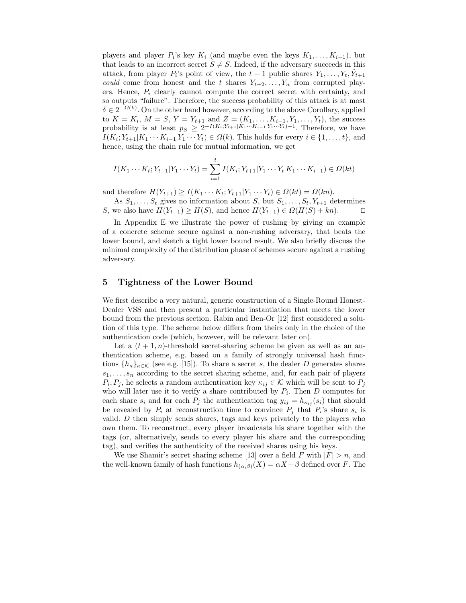players and player  $P_i$ 's key  $K_i$  (and maybe even the keys  $K_1, \ldots, K_{i-1}$ ), but that leads to an incorrect secret  $\hat{S} \neq S$ . Indeed, if the adversary succeeds in this attack, from player  $P_i$ 's point of view, the  $t+1$  public shares  $Y_1, \ldots, Y_t, \tilde{Y}_{t+1}$ could come from honest and the t shares  $Y_{t+2}, \ldots, Y_n$  from corrupted players. Hence,  $P_i$  clearly cannot compute the correct secret with certainty, and so outputs "failure". Therefore, the success probability of this attack is at most  $\delta \in 2^{-\Omega(k)}$ . On the other hand however, according to the above Corollary, applied to  $K = K_i$ ,  $M = S$ ,  $Y = Y_{t+1}$  and  $Z = (K_1, \ldots, K_{i-1}, Y_1, \ldots, Y_t)$ , the success probability is at least  $p_S \geq 2^{-I(K_i;Y_{t+1}|K_1\cdots K_{i-1}Y_1\cdots Y_t)-1}$ . Therefore, we have  $I(K_i; Y_{t+1}|K_1 \cdots K_{i-1} Y_1 \cdots Y_t) \in \Omega(k)$ . This holds for every  $i \in \{1, \ldots, t\}$ , and hence, using the chain rule for mutual information, we get

$$
I(K_1 \cdots K_t; Y_{t+1}|Y_1 \cdots Y_t) = \sum_{i=1}^t I(K_i; Y_{t+1}|Y_1 \cdots Y_t K_1 \cdots K_{i-1}) \in \Omega(kt)
$$

and therefore  $H(Y_{t+1}) \geq I(K_1 \cdots K_t; Y_{t+1} | Y_1 \cdots Y_t) \in \Omega(kt) = \Omega(kn)$ .

As  $S_1, \ldots, S_t$  gives no information about S, but  $S_1, \ldots, S_t, Y_{t+1}$  determines S, we also have  $H(Y_{t+1}) \ge H(S)$ , and hence  $H(Y_{t+1}) \in \Omega(H(S) + kn)$ .  $\Box$ 

In Appendix E we illustrate the power of rushing by giving an example of a concrete scheme secure against a non-rushing adversary, that beats the lower bound, and sketch a tight lower bound result. We also briefly discuss the minimal complexity of the distribution phase of schemes secure against a rushing adversary.

## 5 Tightness of the Lower Bound

We first describe a very natural, generic construction of a Single-Round Honest-Dealer VSS and then present a particular instantiation that meets the lower bound from the previous section. Rabin and Ben-Or [12] first considered a solution of this type. The scheme below differs from theirs only in the choice of the authentication code (which, however, will be relevant later on).

Let a  $(t + 1, n)$ -threshold secret-sharing scheme be given as well as an authentication scheme, e.g. based on a family of strongly universal hash functions  $\{h_{\kappa}\}_{{\kappa}\in\mathcal{K}}$  (see e.g. [15]). To share a secret s, the dealer D generates shares  $s_1, \ldots, s_n$  according to the secret sharing scheme, and, for each pair of players  $P_i, P_j$ , he selects a random authentication key  $\kappa_{ij} \in \mathcal{K}$  which will be sent to  $P_j$ who will later use it to verify a share contributed by  $P_i$ . Then D computes for each share  $s_i$  and for each  $P_j$  the authentication tag  $y_{ij} = h_{\kappa_{ij}}(s_i)$  that should be revealed by  $P_i$  at reconstruction time to convince  $P_j$  that  $P_i$ 's share  $s_i$  is valid. D then simply sends shares, tags and keys privately to the players who own them. To reconstruct, every player broadcasts his share together with the tags (or, alternatively, sends to every player his share and the corresponding tag), and verifies the authenticity of the received shares using his keys.

We use Shamir's secret sharing scheme [13] over a field F with  $|F| > n$ , and the well-known family of hash functions  $h_{(\alpha,\beta)}(X) = \alpha X + \beta$  defined over F. The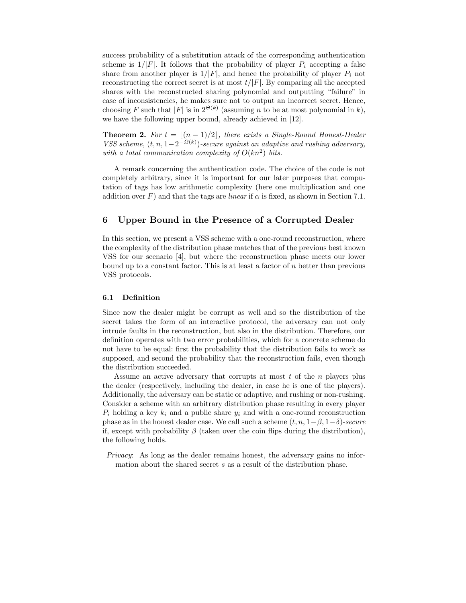success probability of a substitution attack of the corresponding authentication scheme is  $1/|F|$ . It follows that the probability of player  $P_i$  accepting a false share from another player is  $1/|F|$ , and hence the probability of player  $P_i$  not reconstructing the correct secret is at most  $t/|F|$ . By comparing all the accepted shares with the reconstructed sharing polynomial and outputting "failure" in case of inconsistencies, he makes sure not to output an incorrect secret. Hence, choosing F such that  $|F|$  is in  $2^{\Theta(k)}$  (assuming n to be at most polynomial in k), we have the following upper bound, already achieved in [12].

**Theorem 2.** For  $t = |(n - 1)/2|$ , there exists a Single-Round Honest-Dealer VSS scheme,  $(t, n, 1-2^{-\Omega(k)})$ -secure against an adaptive and rushing adversary, with a total communication complexity of  $O(kn^2)$  bits.

A remark concerning the authentication code. The choice of the code is not completely arbitrary, since it is important for our later purposes that computation of tags has low arithmetic complexity (here one multiplication and one addition over F) and that the tags are *linear* if  $\alpha$  is fixed, as shown in Section 7.1.

## 6 Upper Bound in the Presence of a Corrupted Dealer

In this section, we present a VSS scheme with a one-round reconstruction, where the complexity of the distribution phase matches that of the previous best known VSS for our scenario [4], but where the reconstruction phase meets our lower bound up to a constant factor. This is at least a factor of  $n$  better than previous VSS protocols.

#### 6.1 Definition

Since now the dealer might be corrupt as well and so the distribution of the secret takes the form of an interactive protocol, the adversary can not only intrude faults in the reconstruction, but also in the distribution. Therefore, our definition operates with two error probabilities, which for a concrete scheme do not have to be equal: first the probability that the distribution fails to work as supposed, and second the probability that the reconstruction fails, even though the distribution succeeded.

Assume an active adversary that corrupts at most  $t$  of the  $n$  players plus the dealer (respectively, including the dealer, in case he is one of the players). Additionally, the adversary can be static or adaptive, and rushing or non-rushing. Consider a scheme with an arbitrary distribution phase resulting in every player  $P_i$  holding a key  $k_i$  and a public share  $y_i$  and with a one-round reconstruction phase as in the honest dealer case. We call such a scheme  $(t, n, 1-\beta, 1-\delta)$ -secure if, except with probability  $\beta$  (taken over the coin flips during the distribution), the following holds.

Privacy: As long as the dealer remains honest, the adversary gains no information about the shared secret s as a result of the distribution phase.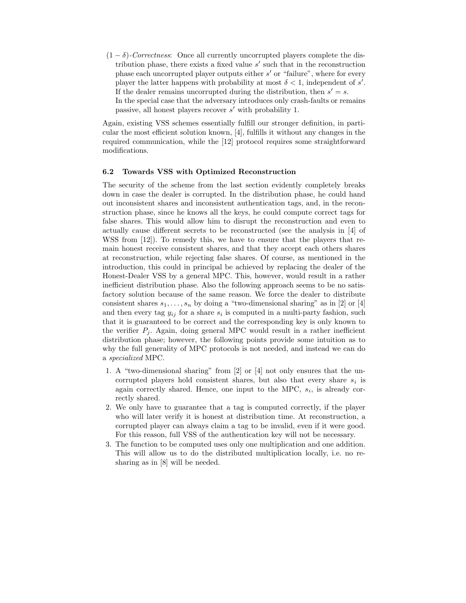$(1 - \delta)$ -Correctness: Once all currently uncorrupted players complete the distribution phase, there exists a fixed value  $s'$  such that in the reconstruction phase each uncorrupted player outputs either  $s'$  or "failure", where for every player the latter happens with probability at most  $\delta < 1$ , independent of s'. If the dealer remains uncorrupted during the distribution, then  $s' = s$ . In the special case that the adversary introduces only crash-faults or remains passive, all honest players recover  $s'$  with probability 1.

Again, existing VSS schemes essentially fulfill our stronger definition, in particular the most efficient solution known, [4], fulfills it without any changes in the required communication, while the [12] protocol requires some straightforward modifications.

#### 6.2 Towards VSS with Optimized Reconstruction

The security of the scheme from the last section evidently completely breaks down in case the dealer is corrupted. In the distribution phase, he could hand out inconsistent shares and inconsistent authentication tags, and, in the reconstruction phase, since he knows all the keys, he could compute correct tags for false shares. This would allow him to disrupt the reconstruction and even to actually cause different secrets to be reconstructed (see the analysis in [4] of WSS from [12]). To remedy this, we have to ensure that the players that remain honest receive consistent shares, and that they accept each others shares at reconstruction, while rejecting false shares. Of course, as mentioned in the introduction, this could in principal be achieved by replacing the dealer of the Honest-Dealer VSS by a general MPC. This, however, would result in a rather inefficient distribution phase. Also the following approach seems to be no satisfactory solution because of the same reason. We force the dealer to distribute consistent shares  $s_1, \ldots, s_n$  by doing a "two-dimensional sharing" as in [2] or [4] and then every tag  $y_{ij}$  for a share  $s_i$  is computed in a multi-party fashion, such that it is guaranteed to be correct and the corresponding key is only known to the verifier  $P_i$ . Again, doing general MPC would result in a rather inefficient distribution phase; however, the following points provide some intuition as to why the full generality of MPC protocols is not needed, and instead we can do a specialized MPC.

- 1. A "two-dimensional sharing" from [2] or [4] not only ensures that the uncorrupted players hold consistent shares, but also that every share  $s_i$  is again correctly shared. Hence, one input to the MPC,  $s_i$ , is already correctly shared.
- 2. We only have to guarantee that a tag is computed correctly, if the player who will later verify it is honest at distribution time. At reconstruction, a corrupted player can always claim a tag to be invalid, even if it were good. For this reason, full VSS of the authentication key will not be necessary.
- 3. The function to be computed uses only one multiplication and one addition. This will allow us to do the distributed multiplication locally, i.e. no resharing as in [8] will be needed.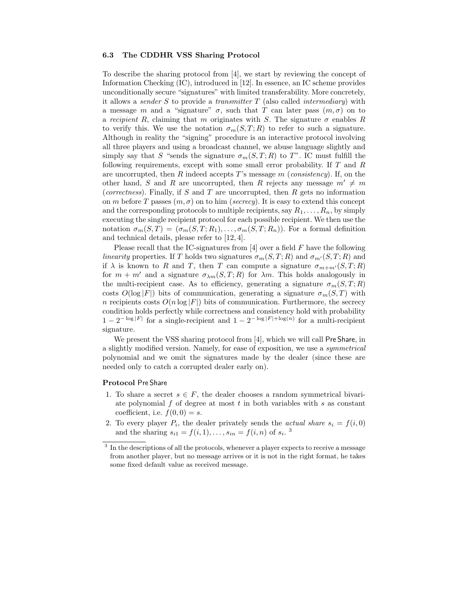#### 6.3 The CDDHR VSS Sharing Protocol

To describe the sharing protocol from [4], we start by reviewing the concept of Information Checking (IC), introduced in [12]. In essence, an IC scheme provides unconditionally secure "signatures" with limited transferability. More concretely, it allows a *sender*  $S$  to provide a *transmitter*  $T$  (also called *intermediary*) with a message m and a "signature"  $\sigma$ , such that T can later pass  $(m, \sigma)$  on to a recipient R, claiming that m originates with S. The signature  $\sigma$  enables R to verify this. We use the notation  $\sigma_m(S,T;R)$  to refer to such a signature. Although in reality the "signing" procedure is an interactive protocol involving all three players and using a broadcast channel, we abuse language slightly and simply say that S "sends the signature  $\sigma_m(S,T;R)$  to T". IC must fulfill the following requirements, except with some small error probability. If  $T$  and  $R$ are uncorrupted, then R indeed accepts T's message  $m$  (consistency). If, on the other hand, S and R are uncorrupted, then R rejects any message  $m' \neq m$ (correctness). Finally, if  $S$  and  $T$  are uncorrupted, then  $R$  gets no information on m before T passes  $(m, \sigma)$  on to him (secrecy). It is easy to extend this concept and the corresponding protocols to multiple recipients, say  $R_1, \ldots, R_n$ , by simply executing the single recipient protocol for each possible recipient. We then use the notation  $\sigma_m(S,T) = (\sigma_m(S,T;R_1), \ldots, \sigma_m(S,T;R_n)).$  For a formal definition and technical details, please refer to [12, 4].

Please recall that the IC-signatures from  $[4]$  over a field F have the following linearity properties. If T holds two signatures  $\sigma_m(S, T; R)$  and  $\sigma_{m'}(S, T; R)$  and if  $\lambda$  is known to R and T, then T can compute a signature  $\sigma_{m+m'}(S,T;R)$ for  $m + m'$  and a signature  $\sigma_{\lambda m}(S, T; R)$  for  $\lambda m$ . This holds analogously in the multi-recipient case. As to efficiency, generating a signature  $\sigma_m(S,T;R)$ costs  $O(\log |F|)$  bits of communication, generating a signature  $\sigma_m(S,T)$  with n recipients costs  $O(n \log |F|)$  bits of communication. Furthermore, the secrecy condition holds perfectly while correctness and consistency hold with probability  $1 - 2^{-\log |F|}$  for a single-recipient and  $1 - 2^{-\log |F| + \log(n)}$  for a multi-recipient signature.

We present the VSS sharing protocol from [4], which we will call Pre Share, in a slightly modified version. Namely, for ease of exposition, we use a symmetrical polynomial and we omit the signatures made by the dealer (since these are needed only to catch a corrupted dealer early on).

#### Protocol Pre Share

- 1. To share a secret  $s \in F$ , the dealer chooses a random symmetrical bivariate polynomial f of degree at most  $t$  in both variables with  $s$  as constant coefficient, i.e.  $f(0, 0) = s$ .
- 2. To every player  $P_i$ , the dealer privately sends the *actual share*  $s_i = f(i, 0)$ and the sharing  $s_{i1} = f(i, 1), \ldots, s_{in} = f(i, n)$  of  $s_i$ .<sup>3</sup>

<sup>&</sup>lt;sup>3</sup> In the descriptions of all the protocols, whenever a player expects to receive a message from another player, but no message arrives or it is not in the right format, he takes some fixed default value as received message.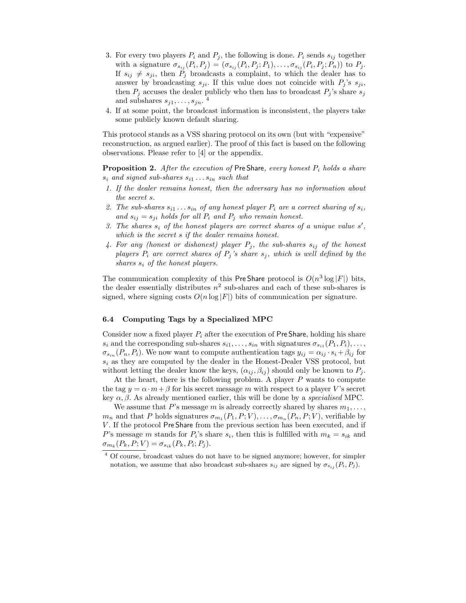- 3. For every two players  $P_i$  and  $P_j$ , the following is done.  $P_i$  sends  $s_{ij}$  together with a signature  $\sigma_{s_{ij}}(P_i, P_j) = (\sigma_{s_{ij}}(P_i, P_j; P_1), \ldots, \sigma_{s_{ij}}(P_i, P_j; P_n))$  to  $P_j$ . If  $s_{ij} \neq s_{ji}$ , then  $P_j$  broadcasts a complaint, to which the dealer has to answer by broadcasting  $s_{ji}$ . If this value does not coincide with  $P_j$ 's  $s_{ji}$ , then  $P_j$  accuses the dealer publicly who then has to broadcast  $P_j$ 's share  $s_j$ and subshares  $s_{j1}, \ldots, s_{jn}$ .<sup>4</sup>
- 4. If at some point, the broadcast information is inconsistent, the players take some publicly known default sharing.

This protocol stands as a VSS sharing protocol on its own (but with "expensive" reconstruction, as argued earlier). The proof of this fact is based on the following observations. Please refer to [4] or the appendix.

**Proposition 2.** After the execution of Pre Share, every honest  $P_i$  holds a share  $s_i$  and signed sub-shares  $s_{i1} \ldots s_{in}$  such that

- 1. If the dealer remains honest, then the adversary has no information about the secret s.
- 2. The sub-shares  $s_{i1} \ldots s_{in}$  of any honest player  $P_i$  are a correct sharing of  $s_i$ , and  $s_{ij} = s_{ji}$  holds for all  $P_i$  and  $P_j$  who remain honest.
- 3. The shares  $s_i$  of the honest players are correct shares of a unique value  $s'$ , which is the secret s if the dealer remains honest.
- 4. For any (honest or dishonest) player  $P_j$ , the sub-shares  $s_{ij}$  of the honest players  $P_i$  are correct shares of  $P_j$ 's share  $s_j$ , which is well defined by the shares  $s_i$  of the honest players.

The communication complexity of this Pre Share protocol is  $O(n^3 \log |F|)$  bits, the dealer essentially distributes  $n^2$  sub-shares and each of these sub-shares is signed, where signing costs  $O(n \log |F|)$  bits of communication per signature.

#### 6.4 Computing Tags by a Specialized MPC

Consider now a fixed player  $P_i$  after the execution of Pre Share, holding his share  $s_i$  and the corresponding sub-shares  $s_{i1}, \ldots, s_{in}$  with signatures  $\sigma_{s_{i1}}(P_1, P_i), \ldots,$  $\sigma_{s_{in}}(P_n, P_i)$ . We now want to compute authentication tags  $y_{ij} = \alpha_{ij} \cdot s_i + \beta_{ij}$  for  $s_i$  as they are computed by the dealer in the Honest-Dealer VSS protocol, but without letting the dealer know the keys,  $(\alpha_{ij}, \beta_{ij})$  should only be known to  $P_i$ .

At the heart, there is the following problem. A player P wants to compute the tag  $y = \alpha \cdot m + \beta$  for his secret message m with respect to a player V's secret key  $\alpha$ ,  $\beta$ . As already mentioned earlier, this will be done by a *specialised* MPC.

We assume that P's message m is already correctly shared by shares  $m_1, \ldots,$  $m_n$  and that P holds signatures  $\sigma_{m_1}(P_1, P; V), \ldots, \sigma_{m_n}(P_n, P; V)$ , verifiable by V. If the protocol Pre Share from the previous section has been executed, and if P's message m stands for  $P_i$ 's share  $s_i$ , then this is fulfilled with  $m_k = s_{ik}$  and  $\sigma_{m_k}(P_k, P; V) = \sigma_{s_{ik}}(P_k, P_i; P_j).$ 

<sup>&</sup>lt;sup>4</sup> Of course, broadcast values do not have to be signed anymore; however, for simpler notation, we assume that also broadcast sub-shares  $s_{ij}$  are signed by  $\sigma_{s_{ij}}(P_i, P_j)$ .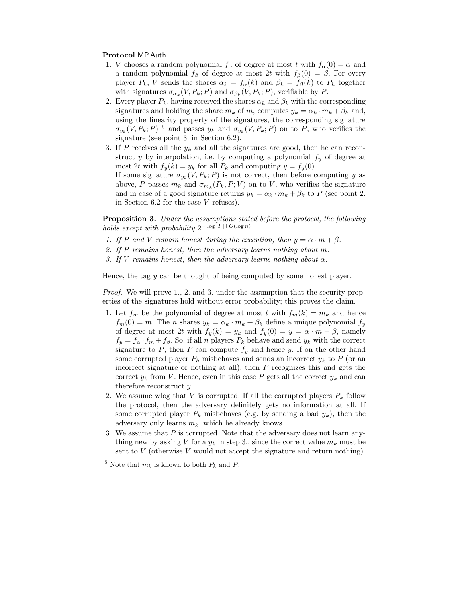#### Protocol MPAuth

- 1. *V* chooses a random polynomial  $f_\alpha$  of degree at most t with  $f_\alpha(0) = \alpha$  and a random polynomial  $f_\beta$  of degree at most 2t with  $f_\beta(0) = \beta$ . For every player  $P_k$ , V sends the shares  $\alpha_k = f_\alpha(k)$  and  $\beta_k = f_\beta(k)$  to  $P_k$  together with signatures  $\sigma_{\alpha_k}(V, P_k; P)$  and  $\sigma_{\beta_k}(V, P_k; P)$ , verifiable by P.
- 2. Every player  $P_k$ , having received the shares  $\alpha_k$  and  $\beta_k$  with the corresponding signatures and holding the share  $m_k$  of m, computes  $y_k = \alpha_k \cdot m_k + \beta_k$  and, using the linearity property of the signatures, the corresponding signature  $\sigma_{y_k}(V, P_k; P)^{-5}$  and passes  $y_k$  and  $\sigma_{y_k}(V, P_k; P)$  on to P, who verifies the signature (see point 3. in Section 6.2).
- 3. If P receives all the  $y_k$  and all the signatures are good, then he can reconstruct y by interpolation, i.e. by computing a polynomial  $f_y$  of degree at most 2t with  $f_y(k) = y_k$  for all  $P_k$  and computing  $y = f_y(0)$ .

If some signature  $\sigma_{y_k}(V, P_k; P)$  is not correct, then before computing y as above, P passes  $m_k$  and  $\sigma_{m_k}(P_k, P; V)$  on to V, who verifies the signature and in case of a good signature returns  $y_k = \alpha_k \cdot m_k + \beta_k$  to P (see point 2. in Section 6.2 for the case V refuses).

Proposition 3. Under the assumptions stated before the protocol, the following holds except with probability  $2^{-\log |F| + O(\log n)}$ .

- 1. If P and V remain honest during the execution, then  $y = \alpha \cdot m + \beta$ .
- 2. If P remains honest, then the adversary learns nothing about m.
- 3. If V remains honest, then the adversary learns nothing about  $\alpha$ .

Hence, the tag  $y$  can be thought of being computed by some honest player.

Proof. We will prove 1., 2. and 3. under the assumption that the security properties of the signatures hold without error probability; this proves the claim.

- 1. Let  $f_m$  be the polynomial of degree at most t with  $f_m(k) = m_k$  and hence  $f_m(0) = m$ . The *n* shares  $y_k = \alpha_k \cdot m_k + \beta_k$  define a unique polynomial  $f_y$ of degree at most 2t with  $f_y(k) = y_k$  and  $f_y(0) = y = \alpha \cdot m + \beta$ , namely  $f_y = f_\alpha \cdot f_m + f_\beta$ . So, if all n players  $P_k$  behave and send  $y_k$  with the correct signature to P, then P can compute  $f_y$  and hence y. If on the other hand some corrupted player  $P_k$  misbehaves and sends an incorrect  $y_k$  to P (or an incorrect signature or nothing at all), then  $P$  recognizes this and gets the correct  $y_k$  from V. Hence, even in this case P gets all the correct  $y_k$  and can therefore reconstruct y.
- 2. We assume wlog that V is corrupted. If all the corrupted players  $P_k$  follow the protocol, then the adversary definitely gets no information at all. If some corrupted player  $P_k$  misbehaves (e.g. by sending a bad  $y_k$ ), then the adversary only learns  $m_k$ , which he already knows.
- 3. We assume that  $P$  is corrupted. Note that the adversary does not learn anything new by asking V for a  $y_k$  in step 3., since the correct value  $m_k$  must be sent to  $V$  (otherwise  $V$  would not accept the signature and return nothing).

<sup>&</sup>lt;sup>5</sup> Note that  $m_k$  is known to both  $P_k$  and P.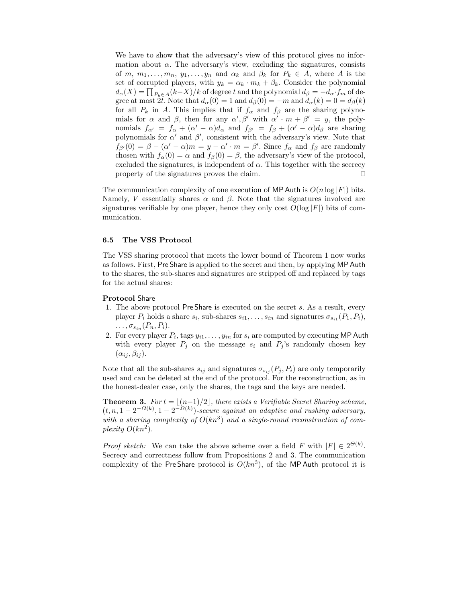We have to show that the adversary's view of this protocol gives no information about  $\alpha$ . The adversary's view, excluding the signatures, consists of m,  $m_1, \ldots, m_n$ ,  $y_1, \ldots, y_n$  and  $\alpha_k$  and  $\beta_k$  for  $P_k \in A$ , where A is the set of corrupted players, with  $y_k = \alpha_k \cdot m_k + \beta_k$ . Consider the polynomial  $d_{\alpha}(X) = \prod_{P_k \in A} (k-X)/k$  of degree t and the polynomial  $d_{\beta} = -d_{\alpha} \cdot f_m$  of degree at most 2t. Note that  $d_{\alpha}(0) = 1$  and  $d_{\beta}(0) = -m$  and  $d_{\alpha}(k) = 0 = d_{\beta}(k)$ for all  $P_k$  in A. This implies that if  $f_\alpha$  and  $f_\beta$  are the sharing polynomials for  $\alpha$  and  $\beta$ , then for any  $\alpha', \beta'$  with  $\alpha' \cdot m + \beta' = y$ , the polynomials  $f_{\alpha'} = f_{\alpha} + (\alpha' - \alpha)d_{\alpha}$  and  $f_{\beta'} = f_{\beta} + (\alpha' - \alpha)d_{\beta}$  are sharing polynomials for  $\alpha'$  and  $\beta'$ , consistent with the adversary's view. Note that  $f_{\beta}(0) = \beta - (\alpha' - \alpha)m = y - \alpha' \cdot m = \beta'.$  Since  $f_{\alpha}$  and  $f_{\beta}$  are randomly chosen with  $f_\alpha(0) = \alpha$  and  $f_\beta(0) = \beta$ , the adversary's view of the protocol, excluded the signatures, is independent of  $\alpha$ . This together with the secrecy property of the signatures proves the claim.  $\square$ 

The communication complexity of one execution of MP Auth is  $O(n \log |F|)$  bits. Namely, V essentially shares  $\alpha$  and  $\beta$ . Note that the signatures involved are signatures verifiable by one player, hence they only cost  $O(\log |F|)$  bits of communication.

#### 6.5 The VSS Protocol

The VSS sharing protocol that meets the lower bound of Theorem 1 now works as follows. First, Pre Share is applied to the secret and then, by applying MPAuth to the shares, the sub-shares and signatures are stripped off and replaced by tags for the actual shares:

#### Protocol Share

- 1. The above protocol Pre Share is executed on the secret s. As a result, every player  $P_i$  holds a share  $s_i$ , sub-shares  $s_{i1}, \ldots, s_{in}$  and signatures  $\sigma_{s_{i1}}(P_1, P_i)$ ,  $\ldots, \sigma_{s_{in}}(P_n, P_i).$
- 2. For every player  $P_i$ , tags  $y_{i1}, \ldots, y_{in}$  for  $s_i$  are computed by executing MP Auth with every player  $P_i$  on the message  $s_i$  and  $P_i$ 's randomly chosen key  $(\alpha_{ij}, \beta_{ij}).$

Note that all the sub-shares  $s_{ij}$  and signatures  $\sigma_{s_{ij}}(P_i, P_i)$  are only temporarily used and can be deleted at the end of the protocol. For the reconstruction, as in the honest-dealer case, only the shares, the tags and the keys are needed.

**Theorem 3.** For  $t = \lfloor (n-1)/2 \rfloor$ , there exists a Verifiable Secret Sharing scheme,  $(t, n, 1 - 2^{-\Omega(k)}, 1 - 2^{-\Omega(k)})$ -secure against an adaptive and rushing adversary, with a sharing complexity of  $O(kn^3)$  and a single-round reconstruction of complexity  $O(kn^2)$ .

*Proof sketch*: We can take the above scheme over a field F with  $|F| \in 2^{\Theta(k)}$ . Secrecy and correctness follow from Propositions 2 and 3. The communication complexity of the Pre Share protocol is  $O(kn^3)$ , of the MP Auth protocol it is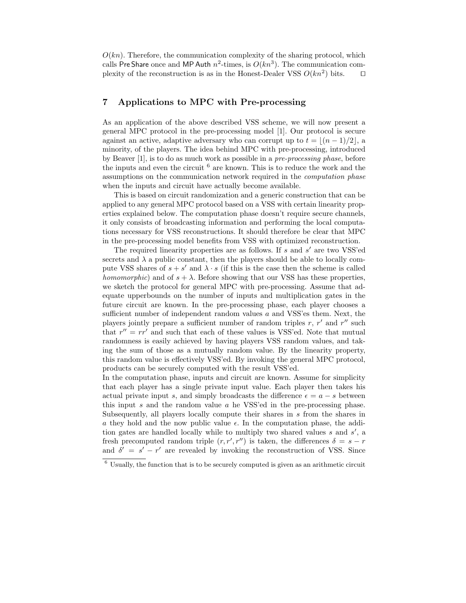$O(kn)$ . Therefore, the communication complexity of the sharing protocol, which calls Pre Share once and MP Auth  $n^2$ -times, is  $O(kn^3)$ . The communication complexity of the reconstruction is as in the Honest-Dealer VSS  $O(kn^2)$  bits.  $\square$ 

## 7 Applications to MPC with Pre-processing

As an application of the above described VSS scheme, we will now present a general MPC protocol in the pre-processing model [1]. Our protocol is secure against an active, adaptive adversary who can corrupt up to  $t = \lfloor (n - 1)/2 \rfloor$ , a minority, of the players. The idea behind MPC with pre-processing, introduced by Beaver [1], is to do as much work as possible in a pre-processing phase, before the inputs and even the circuit  $6$  are known. This is to reduce the work and the assumptions on the communication network required in the computation phase when the inputs and circuit have actually become available.

This is based on circuit randomization and a generic construction that can be applied to any general MPC protocol based on a VSS with certain linearity properties explained below. The computation phase doesn't require secure channels, it only consists of broadcasting information and performing the local computations necessary for VSS reconstructions. It should therefore be clear that MPC in the pre-processing model benefits from VSS with optimized reconstruction.

The required linearity properties are as follows. If  $s$  and  $s'$  are two VSS'ed secrets and  $\lambda$  a public constant, then the players should be able to locally compute VSS shares of  $s + s'$  and  $\lambda \cdot s$  (if this is the case then the scheme is called homomorphic) and of  $s + \lambda$ . Before showing that our VSS has these properties, we sketch the protocol for general MPC with pre-processing. Assume that adequate upperbounds on the number of inputs and multiplication gates in the future circuit are known. In the pre-processing phase, each player chooses a sufficient number of independent random values  $a$  and VSS'es them. Next, the players jointly prepare a sufficient number of random triples  $r, r'$  and  $r''$  such that  $r'' = rr'$  and such that each of these values is VSS'ed. Note that mutual randomness is easily achieved by having players VSS random values, and taking the sum of those as a mutually random value. By the linearity property, this random value is effectively VSS'ed. By invoking the general MPC protocol, products can be securely computed with the result VSS'ed.

In the computation phase, inputs and circuit are known. Assume for simplicity that each player has a single private input value. Each player then takes his actual private input s, and simply broadcasts the difference  $\epsilon = a - s$  between this input s and the random value a he VSS'ed in the pre-processing phase. Subsequently, all players locally compute their shares in s from the shares in a they hold and the now public value  $\epsilon$ . In the computation phase, the addition gates are handled locally while to multiply two shared values  $s$  and  $s'$ , a fresh precomputed random triple  $(r, r', r'')$  is taken, the differences  $\delta = s - r$ and  $\delta' = s' - r'$  are revealed by invoking the reconstruction of VSS. Since

 $6$  Usually, the function that is to be securely computed is given as an arithmetic circuit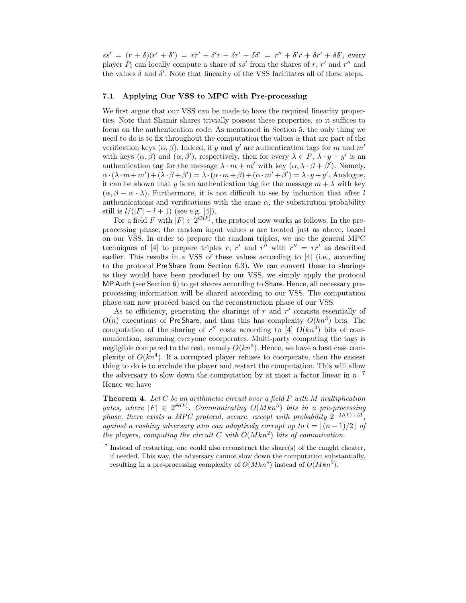$ss' = (r + \delta)(r' + \delta') = rr' + \delta'r + \delta r' + \delta \delta' = r'' + \delta'r + \delta r' + \delta \delta'$ , every player  $P_i$  can locally compute a share of  $ss'$  from the shares of r, r' and r'' and the values  $\delta$  and  $\delta'$ . Note that linearity of the VSS facilitates all of these steps.

#### 7.1 Applying Our VSS to MPC with Pre-processing

We first argue that our VSS can be made to have the required linearity properties. Note that Shamir shares trivially possess these properties, so it suffices to focus on the authentication code. As mentioned in Section 5, the only thing we need to do is to fix throughout the computation the values  $\alpha$  that are part of the verification keys  $(\alpha, \beta)$ . Indeed, if y and y' are authentication tags for m and m' with keys  $(\alpha, \beta)$  and  $(\alpha, \beta')$ , respectively, then for every  $\lambda \in F$ ,  $\lambda \cdot y + y'$  is an authentication tag for the message  $\lambda \cdot m + m'$  with key  $(\alpha, \lambda \cdot \beta + \beta')$ . Namely,  $\alpha \cdot (\lambda \cdot m + m') + (\lambda \cdot \beta + \beta') = \lambda \cdot (\alpha \cdot m + \beta) + (\alpha \cdot m' + \beta') = \lambda \cdot y + y'$ . Analogue, it can be shown that y is an authentication tag for the message  $m + \lambda$  with key  $(\alpha, \beta - \alpha \cdot \lambda)$ . Furthermore, it is not difficult to see by induction that after l authentications and verifications with the same  $\alpha$ , the substitution probability still is  $l/(|F| - l + 1)$  (see e.g. [4]).

For a field F with  $|F| \in 2^{\Theta(k)}$ , the protocol now works as follows. In the preprocessing phase, the random input values  $a$  are treated just as above, based on our VSS. In order to prepare the random triples, we use the general MPC techniques of [4] to prepare triples r, r' and r'' with  $r'' = rr'$  as described earlier. This results in a VSS of these values according to [4] (i.e., according to the protocol Pre Share from Section 6.3). We can convert these to sharings as they would have been produced by our VSS, we simply apply the protocol MPAuth (see Section 6) to get shares according to Share. Hence, all necessary preprocessing information will be shared according to our VSS. The computation phase can now proceed based on the reconstruction phase of our VSS.

As to efficiency, generating the sharings of  $r$  and  $r'$  consists essentially of  $O(n)$  executions of PreShare, and thus this has complexity  $O(kn^3)$  bits. The computation of the sharing of  $r''$  costs according to [4]  $O(kn^4)$  bits of communication, assuming everyone coorperates. Multi-party computing the tags is negligible compared to the rest, namely  $O(kn^3)$ . Hence, we have a best case complexity of  $O(kn^4)$ . If a corrupted player refuses to coorperate, then the easiest thing to do is to exclude the player and restart the computation. This will allow the adversary to slow down the computation by at most a factor linear in  $n$ .<sup>7</sup> Hence we have

**Theorem 4.** Let  $C$  be an arithmetic circuit over a field  $F$  with  $M$  multiplication gates, where  $|F| \in 2^{\Theta(k)}$ . Communicating  $O(Mkn^5)$  bits in a pre-processing phase, there exists a MPC protocol, secure, except with probability  $2^{-\Omega(k)+M}$ , against a rushing adversary who can adaptively corrupt up to  $t = \lfloor (n - 1)/2 \rfloor$  of the players, computing the circuit C with  $O(Mkn^2)$  bits of comunication.

<sup>7</sup> Instead of restarting, one could also reconstruct the share(s) of the caught cheater, if needed. This way, the adversary cannot slow down the computation substantially, resulting in a pre-processing complexity of  $O(Mkn^4)$  instead of  $O(Mkn^5)$ .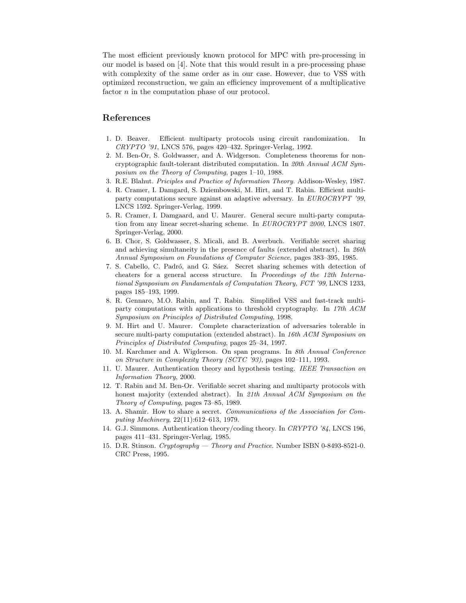The most efficient previously known protocol for MPC with pre-processing in our model is based on [4]. Note that this would result in a pre-processing phase with complexity of the same order as in our case. However, due to VSS with optimized reconstruction, we gain an efficiency improvement of a multiplicative factor  $n$  in the computation phase of our protocol.

## References

- 1. D. Beaver. Efficient multiparty protocols using circuit randomization. In CRYPTO '91, LNCS 576, pages 420–432. Springer-Verlag, 1992.
- 2. M. Ben-Or, S. Goldwasser, and A. Widgerson. Completeness theorems for noncryptographic fault-tolerant distributed computation. In 20th Annual ACM Symposium on the Theory of Computing, pages 1–10, 1988.
- 3. R.E. Blahut. Priciples and Practice of Information Theory. Addison-Wesley, 1987.
- 4. R. Cramer, I. Damgard, S. Dziembowski, M. Hirt, and T. Rabin. Efficient multiparty computations secure against an adaptive adversary. In EUROCRYPT '99, LNCS 1592. Springer-Verlag, 1999.
- 5. R. Cramer, I. Damgaard, and U. Maurer. General secure multi-party computation from any linear secret-sharing scheme. In EUROCRYPT 2000, LNCS 1807. Springer-Verlag, 2000.
- 6. B. Chor, S. Goldwasser, S. Micali, and B. Awerbuch. Verifiable secret sharing and achieving simultaneity in the presence of faults (extended abstract). In 26th Annual Symposium on Foundations of Computer Science, pages 383–395, 1985.
- 7. S. Cabello, C. Padró, and G. Sáez. Secret sharing schemes with detection of cheaters for a general access structure. In Proceedings of the 12th International Symposium on Fundamentals of Computation Theory, FCT '99, LNCS 1233, pages 185–193, 1999.
- 8. R. Gennaro, M.O. Rabin, and T. Rabin. Simplified VSS and fast-track multiparty computations with applications to threshold cryptography. In 17th ACM Symposium on Principles of Distributed Computing, 1998.
- 9. M. Hirt and U. Maurer. Complete characterization of adversaries tolerable in secure multi-party computation (extended abstract). In 16th ACM Symposium on Principles of Distributed Computing, pages 25–34, 1997.
- 10. M. Karchmer and A. Wigderson. On span programs. In 8th Annual Conference on Structure in Complexity Theory (SCTC '93), pages 102–111, 1993.
- 11. U. Maurer. Authentication theory and hypothesis testing. IEEE Transaction on Information Theory, 2000.
- 12. T. Rabin and M. Ben-Or. Verifiable secret sharing and multiparty protocols with honest majority (extended abstract). In 21th Annual ACM Symposium on the Theory of Computing, pages 73–85, 1989.
- 13. A. Shamir. How to share a secret. Communications of the Association for Computing Machinery, 22(11):612–613, 1979.
- 14. G.J. Simmons. Authentication theory/coding theory. In CRYPTO '84, LNCS 196, pages 411–431. Springer-Verlag, 1985.
- 15. D.R. Stinson. Cryptography Theory and Practice. Number ISBN 0-8493-8521-0. CRC Press, 1995.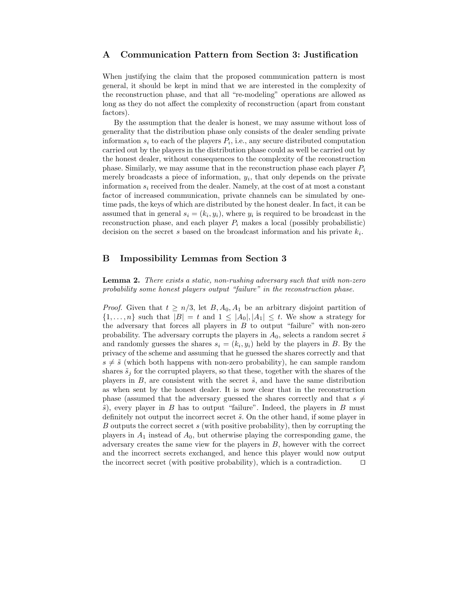## A Communication Pattern from Section 3: Justification

When justifying the claim that the proposed communication pattern is most general, it should be kept in mind that we are interested in the complexity of the reconstruction phase, and that all "re-modeling" operations are allowed as long as they do not affect the complexity of reconstruction (apart from constant factors).

By the assumption that the dealer is honest, we may assume without loss of generality that the distribution phase only consists of the dealer sending private information  $s_i$  to each of the players  $P_i$ , i.e., any secure distributed computation carried out by the players in the distribution phase could as well be carried out by the honest dealer, without consequences to the complexity of the reconstruction phase. Similarly, we may assume that in the reconstruction phase each player  $P_i$ merely broadcasts a piece of information,  $y_i$ , that only depends on the private information  $s_i$  received from the dealer. Namely, at the cost of at most a constant factor of increased communication, private channels can be simulated by onetime pads, the keys of which are distributed by the honest dealer. In fact, it can be assumed that in general  $s_i = (k_i, y_i)$ , where  $y_i$  is required to be broadcast in the reconstruction phase, and each player  $P_i$  makes a local (possibly probabilistic) decision on the secret s based on the broadcast information and his private  $k_i$ .

## B Impossibility Lemmas from Section 3

Lemma 2. There exists a static, non-rushing adversary such that with non-zero probability some honest players output "failure" in the reconstruction phase.

*Proof.* Given that  $t \geq n/3$ , let  $B, A_0, A_1$  be an arbitrary disjoint partition of  $\{1,\ldots,n\}$  such that  $|B|=t$  and  $1\leq |A_0|, |A_1|\leq t$ . We show a strategy for the adversary that forces all players in  $B$  to output "failure" with non-zero probability. The adversary corrupts the players in  $A_0$ , selects a random secret  $\tilde{s}$ and randomly guesses the shares  $s_i = (k_i, y_i)$  held by the players in B. By the privacy of the scheme and assuming that he guessed the shares correctly and that  $s \neq \tilde{s}$  (which both happens with non-zero probability), he can sample random shares  $\tilde{s}_j$  for the corrupted players, so that these, together with the shares of the players in  $B$ , are consistent with the secret  $\tilde{s}$ , and have the same distribution as when sent by the honest dealer. It is now clear that in the reconstruction phase (assumed that the adversary guessed the shares correctly and that  $s \neq$  $\tilde{s}$ ), every player in B has to output "failure". Indeed, the players in B must definitely not output the incorrect secret  $\tilde{s}$ . On the other hand, if some player in  $B$  outputs the correct secret  $s$  (with positive probability), then by corrupting the players in  $A_1$  instead of  $A_0$ , but otherwise playing the corresponding game, the adversary creates the same view for the players in  $B$ , however with the correct and the incorrect secrets exchanged, and hence this player would now output the incorrect secret (with positive probability), which is a contradiction.  $\square$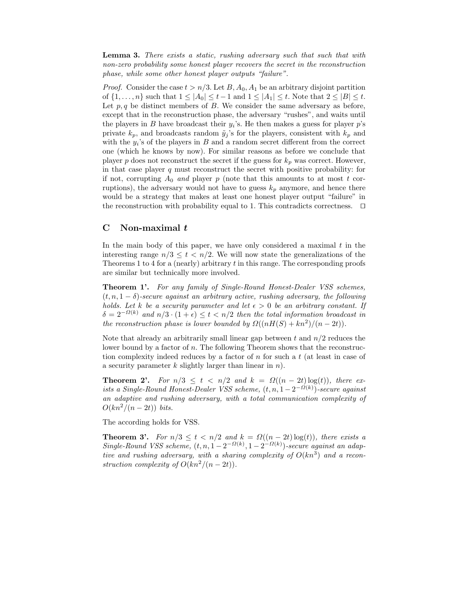**Lemma 3.** There exists a static, rushing adversary such that such that with non-zero probability some honest player recovers the secret in the reconstruction phase, while some other honest player outputs "failure".

*Proof.* Consider the case  $t > n/3$ . Let  $B, A_0, A_1$  be an arbitrary disjoint partition of  $\{1,\ldots,n\}$  such that  $1 \leq |A_0| \leq t-1$  and  $1 \leq |A_1| \leq t$ . Note that  $2 \leq |B| \leq t$ . Let  $p, q$  be distinct members of B. We consider the same adversary as before, except that in the reconstruction phase, the adversary "rushes", and waits until the players in B have broadcast their  $y_i$ 's. He then makes a guess for player  $p$ 's private  $k_p$ , and broadcasts random  $\tilde{y}_j$ 's for the players, consistent with  $k_p$  and with the  $y_i$ 's of the players in  $B$  and a random secret different from the correct one (which he knows by now). For similar reasons as before we conclude that player p does not reconstruct the secret if the guess for  $k_p$  was correct. However, in that case player  $q$  must reconstruct the secret with positive probability: for if not, corrupting  $A_0$  and player p (note that this amounts to at most t corruptions), the adversary would not have to guess  $k_p$  anymore, and hence there would be a strategy that makes at least one honest player output "failure" in the reconstruction with probability equal to 1. This contradicts correctness.  $\Box$ 

## $C$  Non-maximal  $t$

In the main body of this paper, we have only considered a maximal  $t$  in the interesting range  $n/3 \le t < n/2$ . We will now state the generalizations of the Theorems 1 to 4 for a (nearly) arbitrary  $t$  in this range. The corresponding proofs are similar but technically more involved.

Theorem 1'. For any family of Single-Round Honest-Dealer VSS schemes,  $(t, n, 1 - \delta)$ -secure against an arbitrary active, rushing adversary, the following holds. Let k be a security parameter and let  $\epsilon > 0$  be an arbitrary constant. If  $\delta = 2^{-\Omega(k)}$  and  $n/3 \cdot (1+\epsilon) \leq t < n/2$  then the total information broadcast in the reconstruction phase is lower bounded by  $\Omega((nH(S) + kn^2)/(n-2t)).$ 

Note that already an arbitrarily small linear gap between  $t$  and  $n/2$  reduces the lower bound by a factor of  $n$ . The following Theorem shows that the reconstruction complexity indeed reduces by a factor of  $n$  for such a  $t$  (at least in case of a security parameter  $k$  slightly larger than linear in  $n$ ).

**Theorem 2'.** For  $n/3 \le t < n/2$  and  $k = \Omega((n-2t)\log(t))$ , there exists a Single-Round Honest-Dealer VSS scheme,  $(t, n, 1 - 2^{-\Omega(k)})$ -secure against an adaptive and rushing adversary, with a total communication complexity of  $O(kn^2/(n-2t))$  bits.

The according holds for VSS.

**Theorem 3'.** For  $n/3 \le t < n/2$  and  $k = \Omega((n-2t)\log(t))$ , there exists a Single-Round VSS scheme,  $(t, n, 1 - 2^{-\Omega(k)}, 1 - 2^{-\Omega(k)})$ -secure against an adaptive and rushing adversary, with a sharing complexity of  $O(kn^3)$  and a reconstruction complexity of  $O(kn^2/(n-2t)).$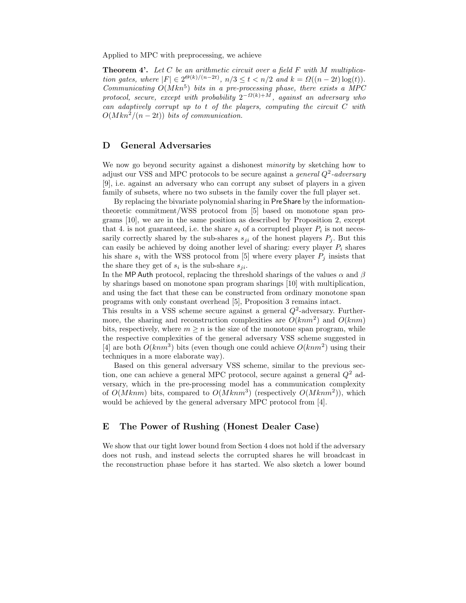Applied to MPC with preprocessing, we achieve

**Theorem 4'.** Let C be an arithmetic circuit over a field F with M multiplication gates, where  $|F| \in 2^{\Theta(k)/(n-2t)}$ ,  $n/3 \le t < n/2$  and  $k = \Omega((n-2t)\log(t)).$ Communicating  $O(Mkn^5)$  bits in a pre-processing phase, there exists a MPC protocol, secure, except with probability  $2^{-\Omega(k)+M}$ , against an adversary who can adaptively corrupt up to t of the players, computing the circuit  $C$  with  $O(Mkn^2/(n-2t))$  bits of communication.

## D General Adversaries

We now go beyond security against a dishonest *minority* by sketching how to adjust our VSS and MPC protocols to be secure against a *general*  $Q^2$ -adversary [9], i.e. against an adversary who can corrupt any subset of players in a given family of subsets, where no two subsets in the family cover the full player set.

By replacing the bivariate polynomial sharing in Pre Share by the informationtheoretic commitment/WSS protocol from [5] based on monotone span programs [10], we are in the same position as described by Proposition 2, except that 4. is not guaranteed, i.e. the share  $s_i$  of a corrupted player  $P_i$  is not necessarily correctly shared by the sub-shares  $s_{ji}$  of the honest players  $P_i$ . But this can easily be achieved by doing another level of sharing: every player  $P_i$  shares his share  $s_i$  with the WSS protocol from [5] where every player  $P_i$  insists that the share they get of  $s_i$  is the sub-share  $s_{ji}$ .

In the MP Auth protocol, replacing the threshold sharings of the values  $\alpha$  and  $\beta$ by sharings based on monotone span program sharings [10] with multiplication, and using the fact that these can be constructed from ordinary monotone span programs with only constant overhead [5], Proposition 3 remains intact.

This results in a VSS scheme secure against a general  $Q^2$ -adversary. Furthermore, the sharing and reconstruction complexities are  $O(knm^2)$  and  $O(knm)$ bits, respectively, where  $m \geq n$  is the size of the monotone span program, while the respective complexities of the general adversary VSS scheme suggested in [4] are both  $O(knm^3)$  bits (even though one could achieve  $O(knm^2)$  using their techniques in a more elaborate way).

Based on this general adversary VSS scheme, similar to the previous section, one can achieve a general MPC protocol, secure against a general  $Q^2$  adversary, which in the pre-processing model has a communication complexity of  $O(Mknm)$  bits, compared to  $O(Mknm^3)$  (respectively  $O(Mknm^2)$ ), which would be achieved by the general adversary MPC protocol from [4].

# E The Power of Rushing (Honest Dealer Case)

We show that our tight lower bound from Section 4 does not hold if the adversary does not rush, and instead selects the corrupted shares he will broadcast in the reconstruction phase before it has started. We also sketch a lower bound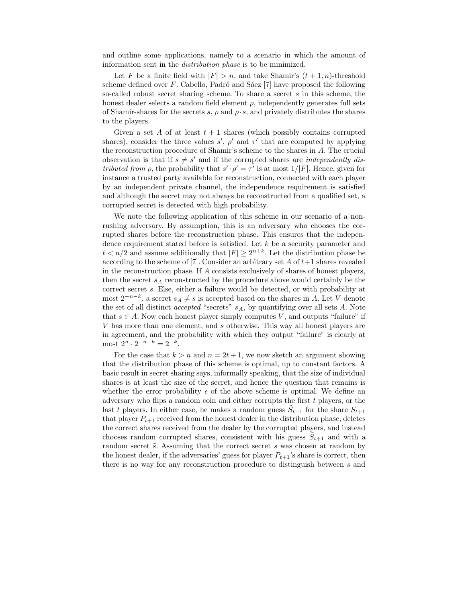and outline some applications, namely to a scenario in which the amount of information sent in the distribution phase is to be minimized.

Let F be a finite field with  $|F| > n$ , and take Shamir's  $(t + 1, n)$ -threshold scheme defined over  $F$ . Cabello, Padró and Sáez [7] have proposed the following so-called robust secret sharing scheme. To share a secret s in this scheme, the honest dealer selects a random field element  $\rho$ , independently generates full sets of Shamir-shares for the secrets s,  $\rho$  and  $\rho \cdot s$ , and privately distributes the shares to the players.

Given a set A of at least  $t + 1$  shares (which possibly contains corrupted shares), consider the three values  $s'$ ,  $\rho'$  and  $\tau'$  that are computed by applying the reconstruction procedure of Shamir's scheme to the shares in A. The crucial observation is that if  $s \neq s'$  and if the corrupted shares are *independently dis*tributed from  $\rho$ , the probability that  $s' \cdot \rho' = \tau'$  is at most  $1/|F|$ . Hence, given for instance a trusted party available for reconstruction, connected with each player by an independent private channel, the independence requirement is satisfied and although the secret may not always be reconstructed from a qualified set, a corrupted secret is detected with high probability.

We note the following application of this scheme in our scenario of a nonrushing adversary. By assumption, this is an adversary who chooses the corrupted shares before the reconstruction phase. This ensures that the independence requirement stated before is satisfied. Let k be a security parameter and  $t < n/2$  and assume additionally that  $|F| \geq 2^{n+k}$ . Let the distribution phase be according to the scheme of [7]. Consider an arbitrary set  $A$  of  $t+1$  shares revealed in the reconstruction phase. If A consists exclusively of shares of honest players, then the secret  $s_A$  reconstructed by the procedure above would certainly be the correct secret s. Else, either a failure would be detected, or with probability at most  $2^{-n-k}$ , a secret  $s_A \neq s$  is accepted based on the shares in A. Let V denote the set of all distinct *accepted* "secrets"  $s_A$ , by quantifying over all sets  $A$ . Note that  $s \in A$ . Now each honest player simply computes V, and outputs "failure" if V has more than one element, and s otherwise. This way all honest players are in agreement, and the probability with which they output "failure" is clearly at most  $2^n \cdot 2^{-n-k} = 2^{-k}$ .

For the case that  $k > n$  and  $n = 2t + 1$ , we now sketch an argument showing that the distribution phase of this scheme is optimal, up to constant factors. A basic result in secret sharing says, informally speaking, that the size of individual shares is at least the size of the secret, and hence the question that remains is whether the error probability  $\epsilon$  of the above scheme is optimal. We define an adversary who flips a random coin and either corrupts the first  $t$  players, or the last t players. In either case, he makes a random guess  $\tilde{S}_{t+1}$  for the share  $S_{t+1}$ that player  $P_{t+1}$  received from the honest dealer in the distribution phase, deletes the correct shares received from the dealer by the corrupted players, and instead chooses random corrupted shares, consistent with his guess  $\tilde{S}_{t+1}$  and with a random secret  $\tilde{s}$ . Assuming that the correct secret s was chosen at random by the honest dealer, if the adversaries' guess for player  $P_{t+1}$ 's share is correct, then there is no way for any reconstruction procedure to distinguish between s and